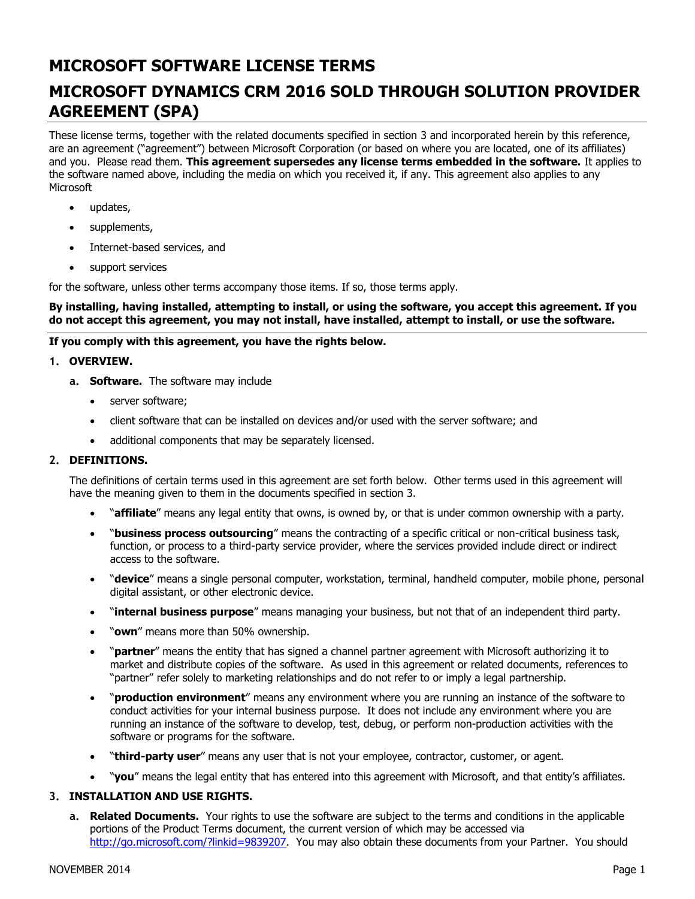# **MICROSOFT SOFTWARE LICENSE TERMS**

# **MICROSOFT DYNAMICS CRM 2016 SOLD THROUGH SOLUTION PROVIDER AGREEMENT (SPA)**

These license terms, together with the related documents specified in section 3 and incorporated herein by this reference, are an agreement ("agreement") between Microsoft Corporation (or based on where you are located, one of its affiliates) and you. Please read them. **This agreement supersedes any license terms embedded in the software.** It applies to the software named above, including the media on which you received it, if any. This agreement also applies to any **Microsoft** 

- updates,
- supplements,
- Internet-based services, and
- support services

for the software, unless other terms accompany those items. If so, those terms apply.

#### **By installing, having installed, attempting to install, or using the software, you accept this agreement. If you do not accept this agreement, you may not install, have installed, attempt to install, or use the software.**

### **If you comply with this agreement, you have the rights below.**

### **1. OVERVIEW.**

- **a. Software.** The software may include
	- server software;
	- client software that can be installed on devices and/or used with the server software; and
	- additional components that may be separately licensed.

### **2. DEFINITIONS.**

The definitions of certain terms used in this agreement are set forth below. Other terms used in this agreement will have the meaning given to them in the documents specified in section 3.

- "**affiliate**" means any legal entity that owns, is owned by, or that is under common ownership with a party.
- "**business process outsourcing**" means the contracting of a specific critical or non-critical business task, function, or process to a third-party service provider, where the services provided include direct or indirect access to the software.
- "**device**" means a single personal computer, workstation, terminal, handheld computer, mobile phone, personal digital assistant, or other electronic device.
- "**internal business purpose**" means managing your business, but not that of an independent third party.
- "**own**" means more than 50% ownership.
- "**partner**" means the entity that has signed a channel partner agreement with Microsoft authorizing it to market and distribute copies of the software. As used in this agreement or related documents, references to "partner" refer solely to marketing relationships and do not refer to or imply a legal partnership.
- "**production environment**" means any environment where you are running an instance of the software to conduct activities for your internal business purpose. It does not include any environment where you are running an instance of the software to develop, test, debug, or perform non-production activities with the software or programs for the software.
- "**third-party user**" means any user that is not your employee, contractor, customer, or agent.
- "**you**" means the legal entity that has entered into this agreement with Microsoft, and that entity's affiliates.

### **3. INSTALLATION AND USE RIGHTS.**

**a. Related Documents.** Your rights to use the software are subject to the terms and conditions in the applicable portions of the Product Terms document, the current version of which may be accessed via [http://go.microsoft.com/?linkid=9839207.](http://go.microsoft.com/?linkid=9839207) You may also obtain these documents from your Partner. You should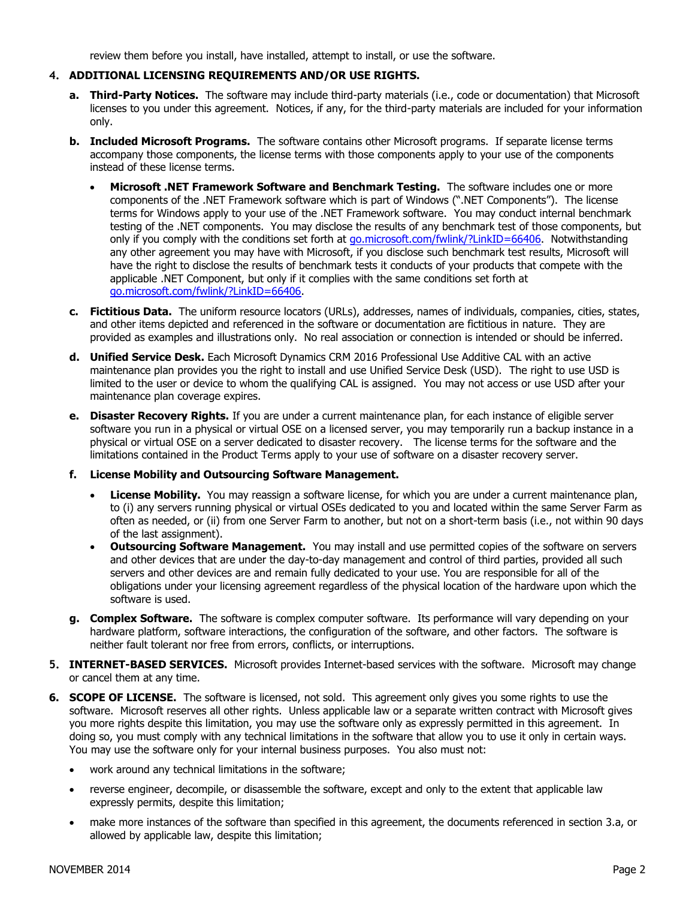review them before you install, have installed, attempt to install, or use the software.

#### **4. ADDITIONAL LICENSING REQUIREMENTS AND/OR USE RIGHTS.**

- **a. Third-Party Notices.** The software may include third-party materials (i.e., code or documentation) that Microsoft licenses to you under this agreement. Notices, if any, for the third-party materials are included for your information only.
- **b. Included Microsoft Programs.** The software contains other Microsoft programs. If separate license terms accompany those components, the license terms with those components apply to your use of the components instead of these license terms.
	- **Microsoft .NET Framework Software and Benchmark Testing.** The software includes one or more components of the .NET Framework software which is part of Windows (".NET Components"). The license terms for Windows apply to your use of the .NET Framework software. You may conduct internal benchmark testing of the .NET components. You may disclose the results of any benchmark test of those components, but only if you comply with the conditions set forth at [go.microsoft.com/fwlink/?LinkID=66406.](http://go.microsoft.com/fwlink/?LinkID=66406) Notwithstanding any other agreement you may have with Microsoft, if you disclose such benchmark test results, Microsoft will have the right to disclose the results of benchmark tests it conducts of your products that compete with the applicable .NET Component, but only if it complies with the same conditions set forth at [go.microsoft.com/fwlink/?LinkID=66406.](http://go.microsoft.com/fwlink/?LinkID=66406)
- **c. Fictitious Data.** The uniform resource locators (URLs), addresses, names of individuals, companies, cities, states, and other items depicted and referenced in the software or documentation are fictitious in nature. They are provided as examples and illustrations only. No real association or connection is intended or should be inferred.
- **d. Unified Service Desk.** Each Microsoft Dynamics CRM 2016 Professional Use Additive CAL with an active maintenance plan provides you the right to install and use Unified Service Desk (USD). The right to use USD is limited to the user or device to whom the qualifying CAL is assigned. You may not access or use USD after your maintenance plan coverage expires.
- **e. Disaster Recovery Rights.** If you are under a current maintenance plan, for each instance of eligible server software you run in a physical or virtual OSE on a licensed server, you may temporarily run a backup instance in a physical or virtual OSE on a server dedicated to disaster recovery. The license terms for the software and the limitations contained in the Product Terms apply to your use of software on a disaster recovery server.

#### **f. License Mobility and Outsourcing Software Management.**

- **License Mobility.** You may reassign a software license, for which you are under a current maintenance plan, to (i) any servers running physical or virtual OSEs dedicated to you and located within the same Server Farm as often as needed, or (ii) from one Server Farm to another, but not on a short-term basis (i.e., not within 90 days of the last assignment).
- **Outsourcing Software Management.** You may install and use permitted copies of the software on servers and other devices that are under the day-to-day management and control of third parties, provided all such servers and other devices are and remain fully dedicated to your use. You are responsible for all of the obligations under your licensing agreement regardless of the physical location of the hardware upon which the software is used.
- **g. Complex Software.** The software is complex computer software. Its performance will vary depending on your hardware platform, software interactions, the configuration of the software, and other factors. The software is neither fault tolerant nor free from errors, conflicts, or interruptions.
- **5. INTERNET-BASED SERVICES.** Microsoft provides Internet-based services with the software. Microsoft may change or cancel them at any time.
- **6. SCOPE OF LICENSE.** The software is licensed, not sold. This agreement only gives you some rights to use the software. Microsoft reserves all other rights. Unless applicable law or a separate written contract with Microsoft gives you more rights despite this limitation, you may use the software only as expressly permitted in this agreement. In doing so, you must comply with any technical limitations in the software that allow you to use it only in certain ways. You may use the software only for your internal business purposes. You also must not:
	- work around any technical limitations in the software;
	- reverse engineer, decompile, or disassemble the software, except and only to the extent that applicable law expressly permits, despite this limitation;
	- make more instances of the software than specified in this agreement, the documents referenced in section 3.a, or allowed by applicable law, despite this limitation;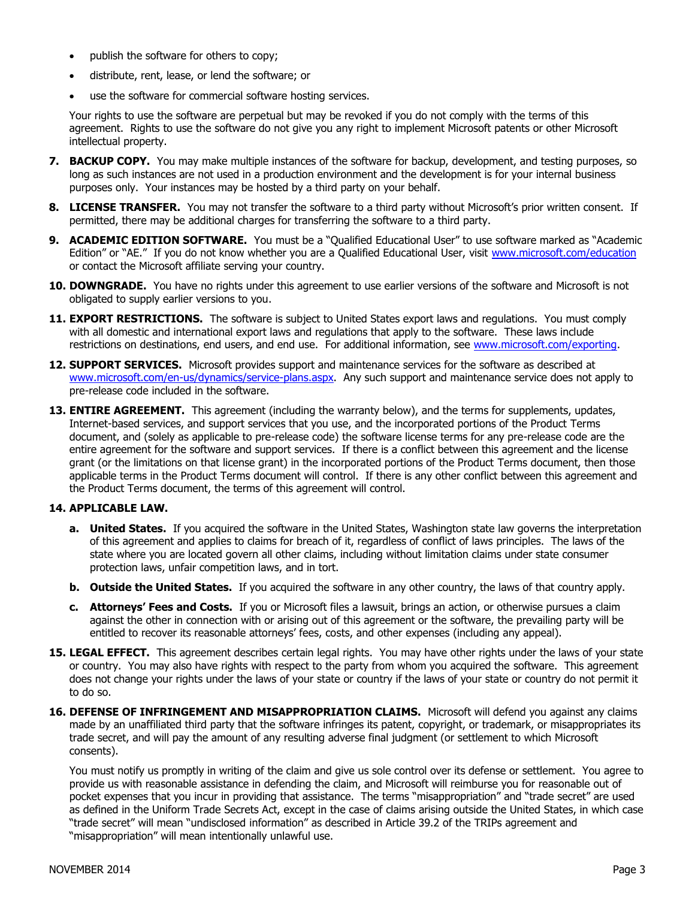- publish the software for others to copy;
- distribute, rent, lease, or lend the software; or
- use the software for commercial software hosting services.

Your rights to use the software are perpetual but may be revoked if you do not comply with the terms of this agreement. Rights to use the software do not give you any right to implement Microsoft patents or other Microsoft intellectual property.

- **7. BACKUP COPY.** You may make multiple instances of the software for backup, development, and testing purposes, so long as such instances are not used in a production environment and the development is for your internal business purposes only. Your instances may be hosted by a third party on your behalf.
- **8. LICENSE TRANSFER.** You may not transfer the software to a third party without Microsoft's prior written consent. If permitted, there may be additional charges for transferring the software to a third party.
- **9. ACADEMIC EDITION SOFTWARE.** You must be a "Qualified Educational User" to use software marked as "Academic Edition" or "AE." If you do not know whether you are a Qualified Educational User, visit [www.microsoft.com/education](file:///X:/MSFT-Dynamics%20Forms/SLT%20with%20PUR%20Grant/www.microsoft.com/education) or contact the Microsoft affiliate serving your country.
- 10. **DOWNGRADE.** You have no rights under this agreement to use earlier versions of the software and Microsoft is not obligated to supply earlier versions to you.
- 11. **EXPORT RESTRICTIONS.** The software is subject to United States export laws and regulations. You must comply with all domestic and international export laws and regulations that apply to the software. These laws include restrictions on destinations, end users, and end use. For additional information, see [www.microsoft.com/exporting.](http://www.microsoft.com/exporting)
- **12. SUPPORT SERVICES.** Microsoft provides support and maintenance services for the software as described at [www.microsoft.com/en-us/dynamics/service-plans.aspx.](http://www.microsoft.com/en-us/dynamics/service-plans.aspx) Any such support and maintenance service does not apply to pre-release code included in the software.
- **13. ENTIRE AGREEMENT.** This agreement (including the warranty below), and the terms for supplements, updates, Internet-based services, and support services that you use, and the incorporated portions of the Product Terms document, and (solely as applicable to pre-release code) the software license terms for any pre-release code are the entire agreement for the software and support services. If there is a conflict between this agreement and the license grant (or the limitations on that license grant) in the incorporated portions of the Product Terms document, then those applicable terms in the Product Terms document will control. If there is any other conflict between this agreement and the Product Terms document, the terms of this agreement will control.

### **14. APPLICABLE LAW.**

- **a. United States.** If you acquired the software in the United States, Washington state law governs the interpretation of this agreement and applies to claims for breach of it, regardless of conflict of laws principles. The laws of the state where you are located govern all other claims, including without limitation claims under state consumer protection laws, unfair competition laws, and in tort.
- **b. Outside the United States.** If you acquired the software in any other country, the laws of that country apply.
- **c. Attorneys' Fees and Costs.** If you or Microsoft files a lawsuit, brings an action, or otherwise pursues a claim against the other in connection with or arising out of this agreement or the software, the prevailing party will be entitled to recover its reasonable attorneys' fees, costs, and other expenses (including any appeal).
- **15. LEGAL EFFECT.** This agreement describes certain legal rights. You may have other rights under the laws of your state or country. You may also have rights with respect to the party from whom you acquired the software. This agreement does not change your rights under the laws of your state or country if the laws of your state or country do not permit it to do so.
- 16. DEFENSE OF INFRINGEMENT AND MISAPPROPRIATION CLAIMS. Microsoft will defend you against any claims made by an unaffiliated third party that the software infringes its patent, copyright, or trademark, or misappropriates its trade secret, and will pay the amount of any resulting adverse final judgment (or settlement to which Microsoft consents).

You must notify us promptly in writing of the claim and give us sole control over its defense or settlement. You agree to provide us with reasonable assistance in defending the claim, and Microsoft will reimburse you for reasonable out of pocket expenses that you incur in providing that assistance. The terms "misappropriation" and "trade secret" are used as defined in the Uniform Trade Secrets Act, except in the case of claims arising outside the United States, in which case "trade secret" will mean "undisclosed information" as described in Article 39.2 of the TRIPs agreement and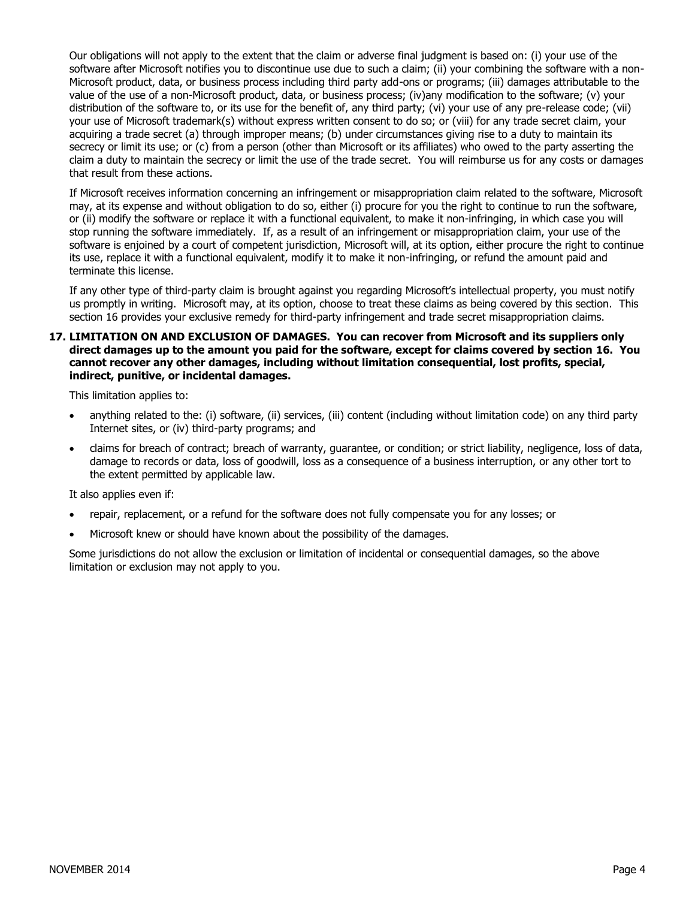Our obligations will not apply to the extent that the claim or adverse final judgment is based on: (i) your use of the software after Microsoft notifies you to discontinue use due to such a claim; (ii) your combining the software with a non-Microsoft product, data, or business process including third party add-ons or programs; (iii) damages attributable to the value of the use of a non-Microsoft product, data, or business process; (iv)any modification to the software; (v) your distribution of the software to, or its use for the benefit of, any third party; (vi) your use of any pre-release code; (vii) your use of Microsoft trademark(s) without express written consent to do so; or (viii) for any trade secret claim, your acquiring a trade secret (a) through improper means; (b) under circumstances giving rise to a duty to maintain its secrecy or limit its use; or (c) from a person (other than Microsoft or its affiliates) who owed to the party asserting the claim a duty to maintain the secrecy or limit the use of the trade secret. You will reimburse us for any costs or damages that result from these actions.

If Microsoft receives information concerning an infringement or misappropriation claim related to the software, Microsoft may, at its expense and without obligation to do so, either (i) procure for you the right to continue to run the software, or (ii) modify the software or replace it with a functional equivalent, to make it non-infringing, in which case you will stop running the software immediately. If, as a result of an infringement or misappropriation claim, your use of the software is enjoined by a court of competent jurisdiction, Microsoft will, at its option, either procure the right to continue its use, replace it with a functional equivalent, modify it to make it non-infringing, or refund the amount paid and terminate this license.

If any other type of third-party claim is brought against you regarding Microsoft's intellectual property, you must notify us promptly in writing. Microsoft may, at its option, choose to treat these claims as being covered by this section. This section 16 provides your exclusive remedy for third-party infringement and trade secret misappropriation claims.

**17. LIMITATION ON AND EXCLUSION OF DAMAGES. You can recover from Microsoft and its suppliers only direct damages up to the amount you paid for the software, except for claims covered by section 16. You cannot recover any other damages, including without limitation consequential, lost profits, special, indirect, punitive, or incidental damages.**

This limitation applies to:

- anything related to the: (i) software, (ii) services, (iii) content (including without limitation code) on any third party Internet sites, or (iv) third-party programs; and
- claims for breach of contract; breach of warranty, guarantee, or condition; or strict liability, negligence, loss of data, damage to records or data, loss of goodwill, loss as a consequence of a business interruption, or any other tort to the extent permitted by applicable law.

It also applies even if:

- repair, replacement, or a refund for the software does not fully compensate you for any losses; or
- Microsoft knew or should have known about the possibility of the damages.

Some jurisdictions do not allow the exclusion or limitation of incidental or consequential damages, so the above limitation or exclusion may not apply to you.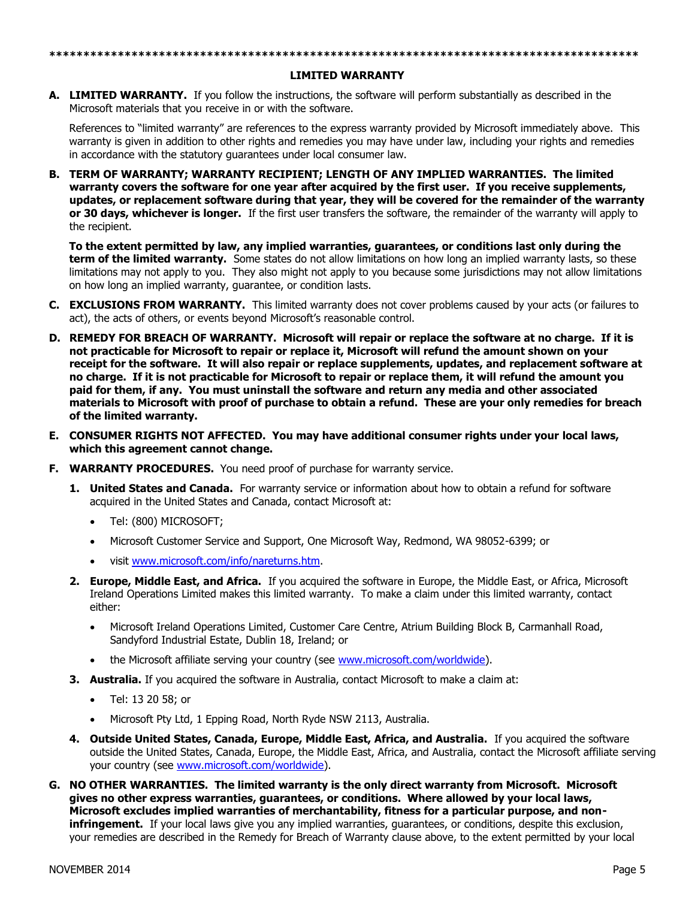## **\*\*\*\*\*\*\*\*\*\*\*\*\*\*\*\*\*\*\*\*\*\*\*\*\*\*\*\*\*\*\*\*\*\*\*\*\*\*\*\*\*\*\*\*\*\*\*\*\*\*\*\*\*\*\*\*\*\*\*\*\*\*\*\*\*\*\*\*\*\*\*\*\*\*\*\*\*\*\*\*\*\*\*\*\*\* LIMITED WARRANTY**

**A. LIMITED WARRANTY.** If you follow the instructions, the software will perform substantially as described in the Microsoft materials that you receive in or with the software.

References to "limited warranty" are references to the express warranty provided by Microsoft immediately above. This warranty is given in addition to other rights and remedies you may have under law, including your rights and remedies in accordance with the statutory guarantees under local consumer law.

**B. TERM OF WARRANTY; WARRANTY RECIPIENT; LENGTH OF ANY IMPLIED WARRANTIES. The limited warranty covers the software for one year after acquired by the first user. If you receive supplements, updates, or replacement software during that year, they will be covered for the remainder of the warranty or 30 days, whichever is longer.** If the first user transfers the software, the remainder of the warranty will apply to the recipient.

**To the extent permitted by law, any implied warranties, guarantees, or conditions last only during the term of the limited warranty.** Some states do not allow limitations on how long an implied warranty lasts, so these limitations may not apply to you. They also might not apply to you because some jurisdictions may not allow limitations on how long an implied warranty, guarantee, or condition lasts.

- **C. EXCLUSIONS FROM WARRANTY.** This limited warranty does not cover problems caused by your acts (or failures to act), the acts of others, or events beyond Microsoft's reasonable control.
- **D. REMEDY FOR BREACH OF WARRANTY. Microsoft will repair or replace the software at no charge. If it is not practicable for Microsoft to repair or replace it, Microsoft will refund the amount shown on your receipt for the software. It will also repair or replace supplements, updates, and replacement software at no charge. If it is not practicable for Microsoft to repair or replace them, it will refund the amount you paid for them, if any. You must uninstall the software and return any media and other associated materials to Microsoft with proof of purchase to obtain a refund. These are your only remedies for breach of the limited warranty.**
- **E. CONSUMER RIGHTS NOT AFFECTED. You may have additional consumer rights under your local laws, which this agreement cannot change.**
- **F. WARRANTY PROCEDURES.** You need proof of purchase for warranty service.
	- **1. United States and Canada.** For warranty service or information about how to obtain a refund for software acquired in the United States and Canada, contact Microsoft at:
		- Tel: (800) MICROSOFT;
		- Microsoft Customer Service and Support, One Microsoft Way, Redmond, WA 98052-6399; or
		- visit www.microsoft.com/info/nareturns.htm.
	- **2. Europe, Middle East, and Africa.** If you acquired the software in Europe, the Middle East, or Africa, Microsoft Ireland Operations Limited makes this limited warranty. To make a claim under this limited warranty, contact either:
		- Microsoft Ireland Operations Limited, Customer Care Centre, Atrium Building Block B, Carmanhall Road, Sandyford Industrial Estate, Dublin 18, Ireland; or
		- the Microsoft affiliate serving your country (see www.microsoft.com/worldwide).
	- **3. Australia.** If you acquired the software in Australia, contact Microsoft to make a claim at:
		- Tel: 13 20 58; or
		- Microsoft Pty Ltd, 1 Epping Road, North Ryde NSW 2113, Australia.
	- **4. Outside United States, Canada, Europe, Middle East, Africa, and Australia.** If you acquired the software outside the United States, Canada, Europe, the Middle East, Africa, and Australia, contact the Microsoft affiliate serving your country (see www.microsoft.com/worldwide).
- **G. NO OTHER WARRANTIES. The limited warranty is the only direct warranty from Microsoft. Microsoft gives no other express warranties, guarantees, or conditions. Where allowed by your local laws, Microsoft excludes implied warranties of merchantability, fitness for a particular purpose, and noninfringement.** If your local laws give you any implied warranties, guarantees, or conditions, despite this exclusion, your remedies are described in the Remedy for Breach of Warranty clause above, to the extent permitted by your local